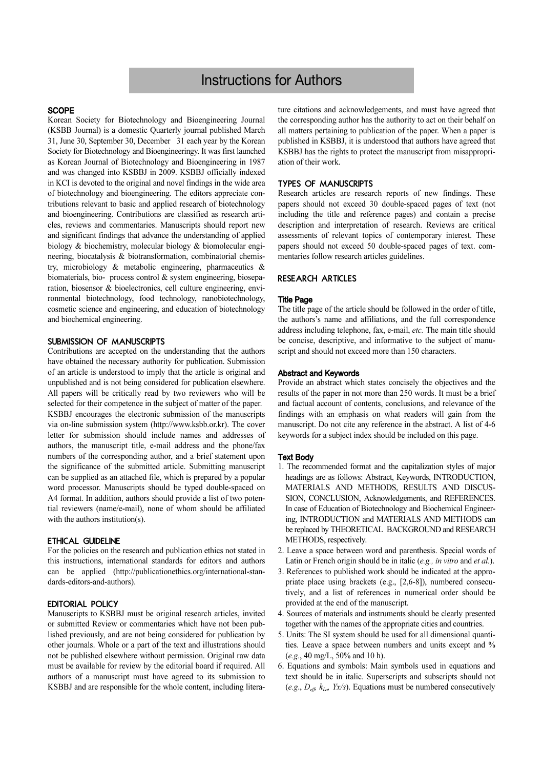# Instructions for Authors

# **SCOPE**

Korean Society for Biotechnology and Bioengineering Journal (KSBB Journal) is a domestic Quarterly journal published March 31, June 30, September 30, December 31 each year by the Korean Society for Biotechnology and Bioengineeringy. It was first launched as Korean Journal of Biotechnology and Bioengineering in 1987 and was changed into KSBBJ in 2009. KSBBJ officially indexed in KCI is devoted to the original and novel findings in the wide area of biotechnology and bioengineering. The editors appreciate contributions relevant to basic and applied research of biotechnology and bioengineering. Contributions are classified as research articles, reviews and commentaries. Manuscripts should report new and significant findings that advance the understanding of applied biology & biochemistry, molecular biology & biomolecular engineering, biocatalysis & biotransformation, combinatorial chemistry, microbiology & metabolic engineering, pharmaceutics & biomaterials, bio- process control & system engineering, bioseparation, biosensor & bioelectronics, cell culture engineering, environmental biotechnology, food technology, nanobiotechnology, cosmetic science and engineering, and education of biotechnology and biochemical engineering.

## SUBMISSION OF MANUSCRIPTS

Contributions are accepted on the understanding that the authors have obtained the necessary authority for publication. Submission of an article is understood to imply that the article is original and unpublished and is not being considered for publication elsewhere. All papers will be critically read by two reviewers who will be selected for their competence in the subject of matter of the paper. KSBBJ encourages the electronic submission of the manuscripts via on-line submission system (http://www.ksbb.or.kr). The cover letter for submission should include names and addresses of authors, the manuscript title, e-mail address and the phone/fax numbers of the corresponding author, and a brief statement upon the significance of the submitted article. Submitting manuscript can be supplied as an attached file, which is prepared by a popular word processor. Manuscripts should be typed double-spaced on A4 format. In addition, authors should provide a list of two potential reviewers (name/e-mail), none of whom should be affiliated with the authors institution(s).

#### ETHICAL GUIDELINE

For the policies on the research and publication ethics not stated in this instructions, international standards for editors and authors can be applied (http://publicationethics.org/international-standards-editors-and-authors).

## EDITORIAL POLICY

Manuscripts to KSBBJ must be original research articles, invited or submitted Review or commentaries which have not been published previously, and are not being considered for publication by other journals. Whole or a part of the text and illustrations should not be published elsewhere without permission. Original raw data must be available for review by the editorial board if required. All authors of a manuscript must have agreed to its submission to KSBBJ and are responsible for the whole content, including literature citations and acknowledgements, and must have agreed that the corresponding author has the authority to act on their behalf on all matters pertaining to publication of the paper. When a paper is published in KSBBJ, it is understood that authors have agreed that KSBBJ has the rights to protect the manuscript from misappropriation of their work.

## TYPES OF MANUSCRIPTS

Research articles are research reports of new findings. These papers should not exceed 30 double-spaced pages of text (not including the title and reference pages) and contain a precise description and interpretation of research. Reviews are critical assessments of relevant topics of contemporary interest. These papers should not exceed 50 double-spaced pages of text. commentaries follow research articles guidelines.

# RESEARCH ARTICLES

#### Title Page

The title page of the article should be followed in the order of title, the authors's name and affiliations, and the full correspondence address including telephone, fax, e-mail, etc. The main title should be concise, descriptive, and informative to the subject of manuscript and should not exceed more than 150 characters.

#### Abstract and Keywords

Provide an abstract which states concisely the objectives and the results of the paper in not more than 250 words. It must be a brief and factual account of contents, conclusions, and relevance of the findings with an emphasis on what readers will gain from the manuscript. Do not cite any reference in the abstract. A list of 4-6 keywords for a subject index should be included on this page.

#### Text Body

- 1. The recommended format and the capitalization styles of major headings are as follows: Abstract, Keywords, INTRODUCTION, MATERIALS AND METHODS, RESULTS AND DISCUS-SION, CONCLUSION, Acknowledgements, and REFERENCES. In case of Education of Biotechnology and Biochemical Engineering, INTRODUCTION and MATERIALS AND METHODS can be replaced by THEORETICAL BACKGROUND and RESEARCH METHODS, respectively.
- 2. Leave a space between word and parenthesis. Special words of Latin or French origin should be in italic (e.g., in vitro and et al.).
- 3. References to published work should be indicated at the appropriate place using brackets (e.g., [2,6-8]), numbered consecutively, and a list of references in numerical order should be provided at the end of the manuscript.
- 4. Sources of materials and instruments should be clearly presented together with the names of the appropriate cities and countries.
- 5. Units: The SI system should be used for all dimensional quantities. Leave a space between numbers and units except and % (e.g., 40 mg/L, 50% and 10 h).
- 6. Equations and symbols: Main symbols used in equations and text should be in italic. Superscripts and subscripts should not (e.g.,  $D_{\text{eff}}$ ,  $k_{\text{L}a}$ , Yx/s). Equations must be numbered consecutively